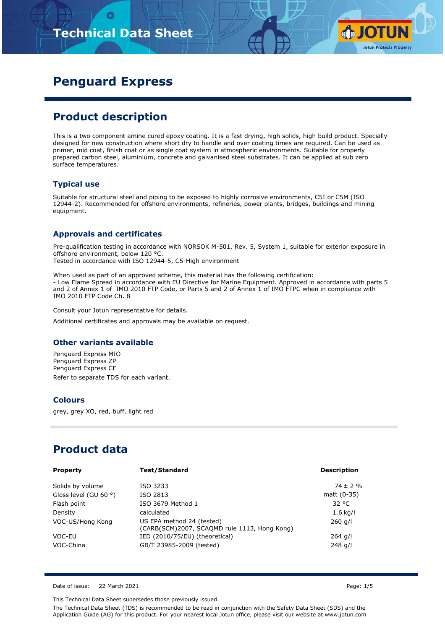# **Technical Data Sheet**



## **Penguard Express**

### **Product description**

This is a two component amine cured epoxy coating. It is a fast drying, high solids, high build product. Specially designed for new construction where short dry to handle and over coating times are required. Can be used as primer, mid coat, finish coat or as single coat system in atmospheric environments. Suitable for properly prepared carbon steel, aluminium, concrete and galvanised steel substrates. It can be applied at sub zero surface temperatures.

#### **Typical use**

Suitable for structural steel and piping to be exposed to highly corrosive environments, C5I or C5M (ISO 12944-2). Recommended for offshore environments, refineries, power plants, bridges, buildings and mining equipment.

#### **Approvals and certificates**

Pre-qualification testing in accordance with NORSOK M-501, Rev. 5, System 1, suitable for exterior exposure in offshore environment, below 120 °C. Tested in accordance with ISO 12944-5, C5-High environment

When used as part of an approved scheme, this material has the following certification: - Low Flame Spread in accordance with EU Directive for Marine Equipment. Approved in accordance with parts 5 and 2 of Annex 1 of IMO 2010 FTP Code, or Parts 5 and 2 of Annex 1 of IMO FTPC when in compliance with IMO 2010 FTP Code Ch. 8

Consult your Jotun representative for details.

Additional certificates and approvals may be available on request.

#### **Other variants available**

Penguard Express MIO Penguard Express ZP Penguard Express CF Refer to separate TDS for each variant.

#### **Colours**

grey, grey XO, red, buff, light red

### **Product data**

| <b>Property</b>                | Test/Standard                                                             | <b>Description</b> |
|--------------------------------|---------------------------------------------------------------------------|--------------------|
| Solids by volume               | ISO 3233                                                                  | $74 \pm 2\%$       |
| Gloss level (GU 60 $\degree$ ) | ISO 2813                                                                  | matt (0-35)        |
| Flash point                    | ISO 3679 Method 1                                                         | 32 °C              |
| Density                        | calculated                                                                | $1.6$ kg/l         |
| VOC-US/Hong Kong               | US EPA method 24 (tested)<br>(CARB(SCM)2007, SCAQMD rule 1113, Hong Kong) | $260$ g/l          |
| VOC-EU                         | IED (2010/75/EU) (theoretical)                                            | $264$ g/l          |
| VOC-China                      | GB/T 23985-2009 (tested)                                                  | $248$ g/l          |

Date of issue: 22 March 2021 Page: 1/5

This Technical Data Sheet supersedes those previously issued.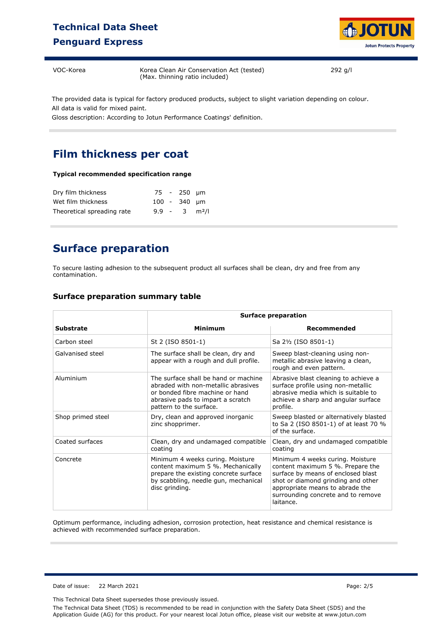### **Technical Data Sheet Penguard Express**



VOC-Korea Korea Clean Air Conservation Act (tested) (Max. thinning ratio included)

292 g/l

The provided data is typical for factory produced products, subject to slight variation depending on colour. All data is valid for mixed paint.

Gloss description: According to Jotun Performance Coatings' definition.

### **Film thickness per coat**

#### **Typical recommended specification range**

| Dry film thickness         |  | 75 - 250 µm                 |  |
|----------------------------|--|-----------------------------|--|
| Wet film thickness         |  | $100 - 340$ um              |  |
| Theoretical spreading rate |  | $9.9 - 3$ m <sup>2</sup> /l |  |

### **Surface preparation**

To secure lasting adhesion to the subsequent product all surfaces shall be clean, dry and free from any contamination.

#### **Surface preparation summary table**

|                   |                                                                                                                                                                                | <b>Surface preparation</b>                                                                                                                                                                                                             |  |  |  |
|-------------------|--------------------------------------------------------------------------------------------------------------------------------------------------------------------------------|----------------------------------------------------------------------------------------------------------------------------------------------------------------------------------------------------------------------------------------|--|--|--|
| <b>Substrate</b>  | <b>Minimum</b>                                                                                                                                                                 | Recommended                                                                                                                                                                                                                            |  |  |  |
| Carbon steel      | St 2 (ISO 8501-1)                                                                                                                                                              | Sa 2½ (ISO 8501-1)                                                                                                                                                                                                                     |  |  |  |
| Galvanised steel  | The surface shall be clean, dry and<br>appear with a rough and dull profile.                                                                                                   | Sweep blast-cleaning using non-<br>metallic abrasive leaving a clean,<br>rough and even pattern.                                                                                                                                       |  |  |  |
| Aluminium         | The surface shall be hand or machine<br>abraded with non-metallic abrasives<br>or bonded fibre machine or hand<br>abrasive pads to impart a scratch<br>pattern to the surface. | Abrasive blast cleaning to achieve a<br>surface profile using non-metallic<br>abrasive media which is suitable to<br>achieve a sharp and angular surface<br>profile.                                                                   |  |  |  |
| Shop primed steel | Dry, clean and approved inorganic<br>zinc shopprimer.                                                                                                                          | Sweep blasted or alternatively blasted<br>to Sa 2 (ISO 8501-1) of at least 70 %<br>of the surface.                                                                                                                                     |  |  |  |
| Coated surfaces   | Clean, dry and undamaged compatible<br>coating                                                                                                                                 | Clean, dry and undamaged compatible<br>coating                                                                                                                                                                                         |  |  |  |
| Concrete          | Minimum 4 weeks curing. Moisture<br>content maximum 5 %. Mechanically<br>prepare the existing concrete surface<br>by scabbling, needle gun, mechanical<br>disc grinding.       | Minimum 4 weeks curing. Moisture<br>content maximum 5 %. Prepare the<br>surface by means of enclosed blast<br>shot or diamond grinding and other<br>appropriate means to abrade the<br>surrounding concrete and to remove<br>laitance. |  |  |  |

Optimum performance, including adhesion, corrosion protection, heat resistance and chemical resistance is achieved with recommended surface preparation.

Date of issue: 22 March 2021 Page: 2/5

This Technical Data Sheet supersedes those previously issued.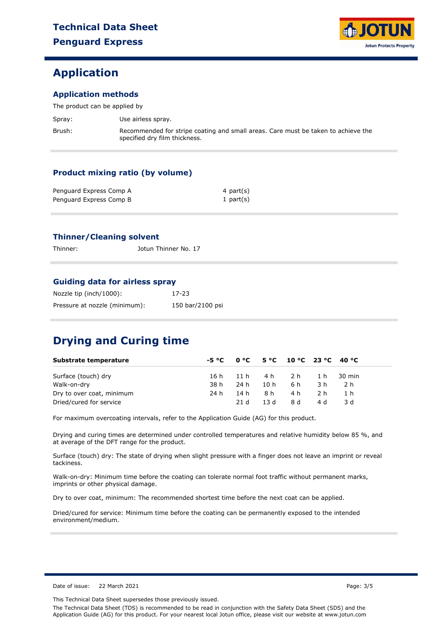### **Application**

#### **Application methods**

The product can be applied by

| Spray: | Use airless spray.                                                                                                 |
|--------|--------------------------------------------------------------------------------------------------------------------|
| Brush: | Recommended for stripe coating and small areas. Care must be taken to achieve the<br>specified dry film thickness. |

#### **Product mixing ratio (by volume)**

| Penguard Express Comp A | 4 part(s)    |
|-------------------------|--------------|
| Penguard Express Comp B | 1 part $(s)$ |

#### **Thinner/Cleaning solvent**

Thinner: Jotun Thinner No. 17

#### **Guiding data for airless spray**

| Nozzle tip (inch/1000):       | 17-23            |
|-------------------------------|------------------|
| Pressure at nozzle (minimum): | 150 bar/2100 psi |

## **Drying and Curing time**

| Substrate temperature     |      |      |      | $-5 °C$ 0 °C 5 °C 10 °C 23 °C 40 °C |     |            |  |
|---------------------------|------|------|------|-------------------------------------|-----|------------|--|
| Surface (touch) dry       | 16 h | 11h  | 4 h  | 2 h                                 |     | 1 h 30 min |  |
| Walk-on-dry               | 38 h | 24 h | 10 h | 6 h                                 | 3 h | 2 h        |  |
| Dry to over coat, minimum | 24 h | 14 h | 8 h  | 4 h                                 | 2 h | 1 h        |  |
| Dried/cured for service   |      | 21 d | 13 d | 8 d                                 | 4 d | 3 d        |  |

For maximum overcoating intervals, refer to the Application Guide (AG) for this product.

Drying and curing times are determined under controlled temperatures and relative humidity below 85 %, and at average of the DFT range for the product.

Surface (touch) dry: The state of drying when slight pressure with a finger does not leave an imprint or reveal tackiness.

Walk-on-dry: Minimum time before the coating can tolerate normal foot traffic without permanent marks, imprints or other physical damage.

Dry to over coat, minimum: The recommended shortest time before the next coat can be applied.

Dried/cured for service: Minimum time before the coating can be permanently exposed to the intended environment/medium.

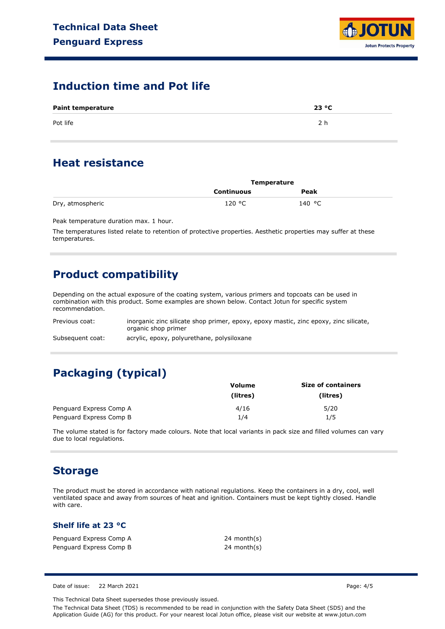

### **Induction time and Pot life**

| <b>Paint temperature</b> | 23 °C |
|--------------------------|-------|
| Pot life                 | 2 h   |

### **Heat resistance**

|                  | <b>Temperature</b> |        |  |
|------------------|--------------------|--------|--|
|                  | Continuous         | Peak   |  |
| Dry, atmospheric | 120 °C             | 140 °C |  |

Peak temperature duration max. 1 hour.

The temperatures listed relate to retention of protective properties. Aesthetic properties may suffer at these temperatures.

### **Product compatibility**

Depending on the actual exposure of the coating system, various primers and topcoats can be used in combination with this product. Some examples are shown below. Contact Jotun for specific system recommendation.

| Previous coat:   | inorganic zinc silicate shop primer, epoxy, epoxy mastic, zinc epoxy, zinc silicate, |
|------------------|--------------------------------------------------------------------------------------|
|                  | organic shop primer                                                                  |
| Subsequent coat: | acrylic, epoxy, polyurethane, polysiloxane                                           |

## **Packaging (typical)**

|                         | Volume   | <b>Size of containers</b> |
|-------------------------|----------|---------------------------|
|                         | (litres) | (litres)                  |
| Penguard Express Comp A | 4/16     | 5/20                      |
| Penguard Express Comp B | 1/4      | 1/5                       |

The volume stated is for factory made colours. Note that local variants in pack size and filled volumes can vary due to local regulations.

### **Storage**

The product must be stored in accordance with national regulations. Keep the containers in a dry, cool, well ventilated space and away from sources of heat and ignition. Containers must be kept tightly closed. Handle with care.

#### **Shelf life at 23 °C**

| Penguard Express Comp A | 24 n |
|-------------------------|------|
| Penguard Express Comp B | 24 n |

24 month(s) 24 month(s)

Date of issue: 22 March 2021 Page: 4/5

This Technical Data Sheet supersedes those previously issued.